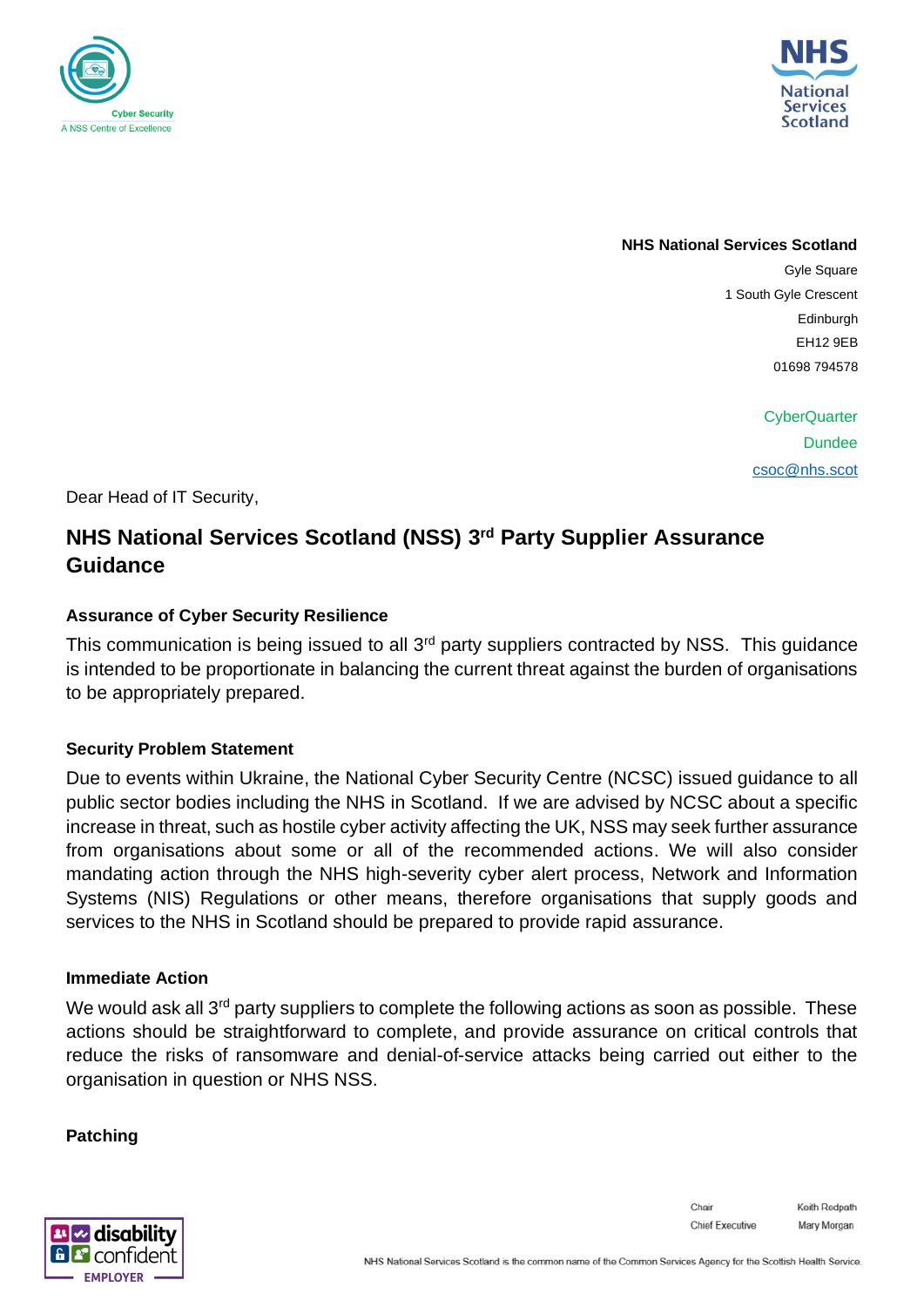



**NHS National Services Scotland**

Gyle Square 1 South Gyle Crescent Edinburgh EH12 9EB 01698 794578

> **CyberQuarter Dundee** [csoc@nhs.scot](mailto:csoc@nhs.scot)

Dear Head of IT Security,

# **NHS National Services Scotland (NSS) 3 rd Party Supplier Assurance Guidance**

# **Assurance of Cyber Security Resilience**

This communication is being issued to all 3<sup>rd</sup> party suppliers contracted by NSS. This guidance is intended to be proportionate in balancing the current threat against the burden of organisations to be appropriately prepared.

# **Security Problem Statement**

Due to events within Ukraine, the National Cyber Security Centre (NCSC) issued guidance to all public sector bodies including the NHS in Scotland. If we are advised by NCSC about a specific increase in threat, such as hostile cyber activity affecting the UK, NSS may seek further assurance from organisations about some or all of the recommended actions. We will also consider mandating action through the NHS high-severity cyber alert process, Network and Information Systems (NIS) Regulations or other means, therefore organisations that supply goods and services to the NHS in Scotland should be prepared to provide rapid assurance.

# **Immediate Action**

We would ask all 3<sup>rd</sup> party suppliers to complete the following actions as soon as possible. These actions should be straightforward to complete, and provide assurance on critical controls that reduce the risks of ransomware and denial-of-service attacks being carried out either to the organisation in question or NHS NSS.

# **Patching**

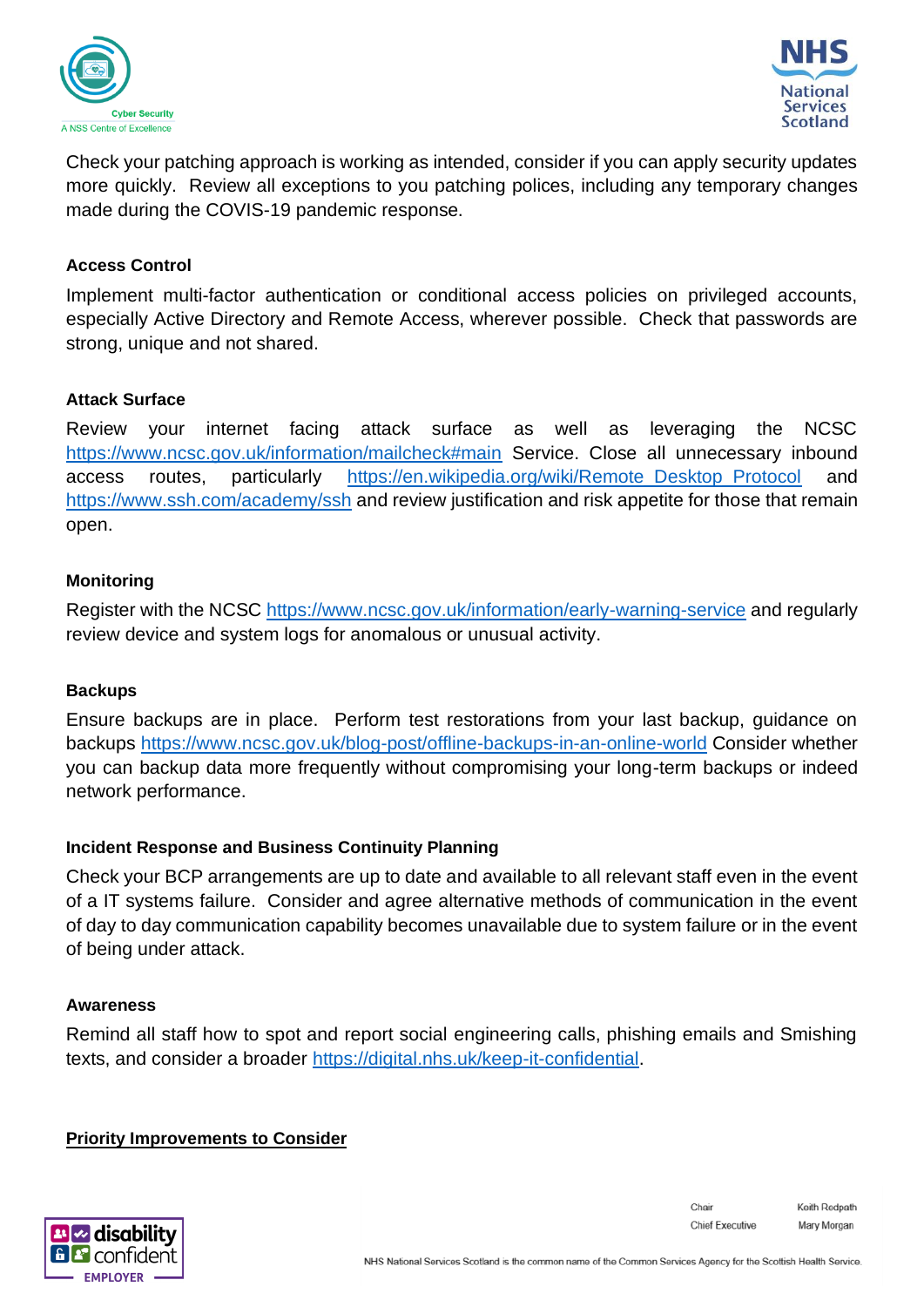



Check your patching approach is working as intended, consider if you can apply security updates more quickly. Review all exceptions to you patching polices, including any temporary changes made during the COVIS-19 pandemic response.

# **Access Control**

Implement multi-factor authentication or conditional access policies on privileged accounts, especially Active Directory and Remote Access, wherever possible. Check that passwords are strong, unique and not shared.

## **Attack Surface**

Review your internet facing attack surface as well as leveraging the NCSC <https://www.ncsc.gov.uk/information/mailcheck#main> Service. Close all unnecessary inbound access routes, particularly [https://en.wikipedia.org/wiki/Remote\\_Desktop\\_Protocol](https://en.wikipedia.org/wiki/Remote_Desktop_Protocol) and <https://www.ssh.com/academy/ssh> and review justification and risk appetite for those that remain open.

## **Monitoring**

Register with the NCSC<https://www.ncsc.gov.uk/information/early-warning-service> and regularly review device and system logs for anomalous or unusual activity.

#### **Backups**

Ensure backups are in place. Perform test restorations from your last backup, guidance on backups<https://www.ncsc.gov.uk/blog-post/offline-backups-in-an-online-world> Consider whether you can backup data more frequently without compromising your long-term backups or indeed network performance.

#### **Incident Response and Business Continuity Planning**

Check your BCP arrangements are up to date and available to all relevant staff even in the event of a IT systems failure. Consider and agree alternative methods of communication in the event of day to day communication capability becomes unavailable due to system failure or in the event of being under attack.

#### **Awareness**

Remind all staff how to spot and report social engineering calls, phishing emails and Smishing texts, and consider a broader [https://digital.nhs.uk/keep-it-confidential.](https://digital.nhs.uk/keep-it-confidential)

#### **Priority Improvements to Consider**